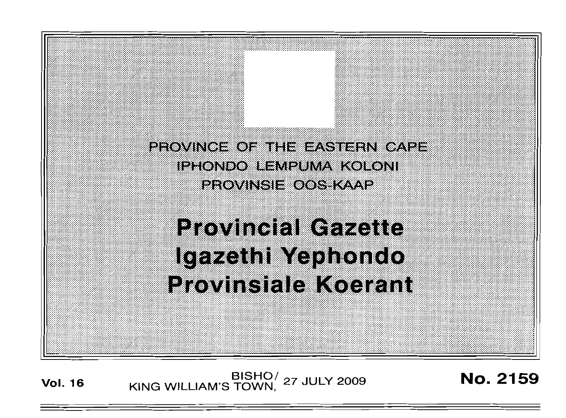

## **Provincial Gazette** Igazethi Yephondo **Provinsiale Koerant**

**Vol. <sup>16</sup>** BISHO/ KING WILLIAM'S TOWN, <sup>27</sup> JULY <sup>2009</sup> No. 2159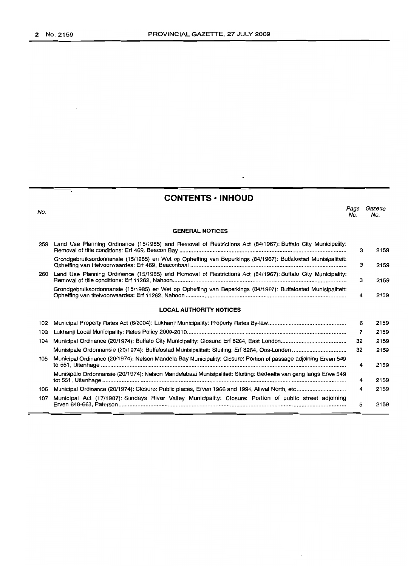## **CONTENTS -INHOUD**

 $\ddot{\phantom{0}}$ 

| No. |                                                                                                                 | Page<br>No. | Gazette<br>No. |
|-----|-----------------------------------------------------------------------------------------------------------------|-------------|----------------|
|     | <b>GENERAL NOTICES</b>                                                                                          |             |                |
| 259 | Land Use Planning Ordinance (15/1985) and Removal of Restrictions Act (84/1967): Buffalo City Municipality:     | з           | 2159           |
|     | Grondgebruiksordonnansie (15/1985) en Wet op Opheffing van Beperkings (84/1967): Buffalostad Munisipaliteit:    | з           | 2159           |
| 260 | Land Use Planning Ordinance (15/1985) and Removal of Restrictions Act (84/1967): Buffalo City Municipality:     | з           | 2159           |
|     | Grondgebruiksordonnansie (15/1985) en Wet op Opheffing van Beperkings (84/1967): Buffalostad Munisipaliteit:    | 4           | 2159           |
|     | <b>LOCAL AUTHORITY NOTICES</b>                                                                                  |             |                |
| 102 |                                                                                                                 | 6           | 2159           |
| 103 |                                                                                                                 | 7           | 2159           |
| 104 |                                                                                                                 | 32          | 2159           |
|     |                                                                                                                 | 32          | 2159           |
| 105 | Municipal Ordinance (20/1974): Nelson Mandela Bay Municipality: Closure: Portion of passage adjoining Erven 549 | 4           | 2159           |
|     | Munisipale Ordonnansie (20/1974): Nelson Mandelabaai Munisipaliteit: Słuiting: Gedeelte van gang langs Erwe 549 | 4           | 2159           |
| 106 |                                                                                                                 | 4           | 2159           |
| 107 | Municipal Act (17/1987): Sundays River Valley Municipality: Closure: Portion of public street adjoining         | 5           | 2159           |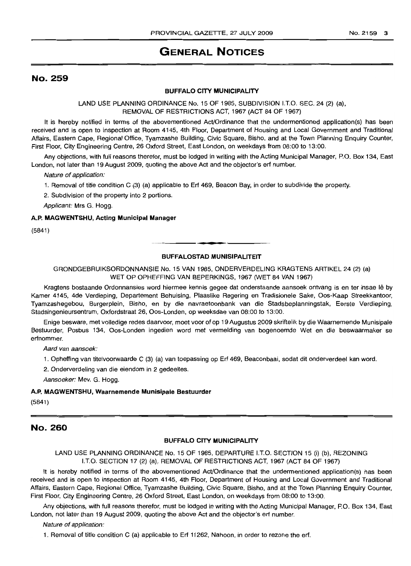## **GENERAL NOTICES**

## No. 259

#### **BUFFALO CITY MUNICIPALITY**

LAND USE PLANNING ORDINANCE No. 15 OF 1985, SUBDIVISION I.T.O. SEC. 24 (2) (a), REMOVAL OF RESTRICTIONS ACT, 1967 (ACT 84 OF 1967)

It is hereby notified in terms of the abovementioned Act/Ordinance that the undermentioned application(s) has been received and is open to inspection at Room 4145, 4th Floor, Department of Housing and Local Government and Traditional Affairs, Eastern Cape, Regional Office, Tyamzashe Building, Civic Square, Bisho, and at the Town Planning Enquiry Counter, First Floor, City Engineering Centre, 26 Oxford Street, East London, on weekdays from 08:00 to 13:00.

Any objections, with full reasons therefor, must be lodged in writing with the Acting Municipal Manager, P.O. Box 134, East London, not later than 19 August 2009, quoting the above Act and the objector's erf number.

Nature of application:

1. Removal of title condition C (3) (a) applicable to Erf 469, Beacon Bay, in order to subdivide the property.

2. Subdivision of the property into 2 portions.

Applicant: Mrs G. Hogg.

#### **A.P. MAGWENTSHU, Acting Municipal Manager**

(5841)

#### **BUFFALOSTAD MUNISIPALITEIT**

**I •**

GRONDGEBRUIKSORDONNANSIE No. 15 VAN 1985, ONDERVERDELING KRAGTENS ARTIKEL 24 (2) (a) WET OP OPHEFFING VAN BEPERKINGS, 1967 (WET 84 VAN 1967)

Kragtens bostaande Ordonnansies word hiermee kennis gegee dat onderstaande aansoek ontvang is en ter insae lê by Kamer 4145, 4de Verdieping, Departement Behuising, Plaaslike Regering en Tradisionele Sake, Oos-Kaap Streekkantoor, Tyamzashegebou, Burgerplein, Bisho, en by die navraetoonbank van die Stadsbeplanningstak, Eerste Verdieping, Stadsingenieursentrum, Oxfordstraat 26, Oos-Londen, op weeksdae van 08:00 to 13:00.

Enige besware, met volledige redes daarvoor, moet voor of op 19 Augustus 2009 skriftelik by die Waarnemende Munisipale Bestuurder, Posbus 134, Oos-Londen ingedien word met vermelding van bogenoemde Wet en die beswaarmaker se erfnommer.

Aard van aansoek:

1. Opheffing van titelvoorwaarde C (3) (a) van toepassing op Erf 469, Beaconbaai, sodat dit onderverdeel kan word.

2. Onderverdeling van die eiendom in 2 gedeeltes.

Aansoeker: Mev. G. Hogg.

#### **A.P. MAGWENTSHU, Waarnemende Munisipale Bestuurder**

(5841)

#### No. 260

#### **BUFFALO CITY MUNICIPALITY**

LAND USE PLANNING ORDINANCE No. 15 OF 1985, DEPARTURE I.T.O. SECTION 15 (i) (b), REZONING I.T.O. SECTION 17 (2) (a), REMOVAL OF RESTRICTIONS ACT, 1967 (ACT 84 OF 1967)

It is hereby notified in terms of the abovementioned Act/Ordinance that the undermentioned application(s) has been received and is open to inspection at Room 4145, 4th Floor, Department of Housing and Local Government and Traditional Affairs, Eastern Cape, Regional Office, Tyamzashe Building, Civic Square, Bisho, and at the Town Planning Enquiry Counter, First Floor, City Engineering Centre, 26 Oxford Street, East London, on weekdays from 08:00 to 13:00.

Any objections, with full reasons therefor, must be lodged in writing with the Acting Municipal Manager, P.O. Box 134, East London, not later than 19 August 2009, quoting the above Act and the objector's erf number.

Nature of application:

1. Removal of title condition C (a) applicable to Erf 11262, Nahoon, in order to rezone the erf.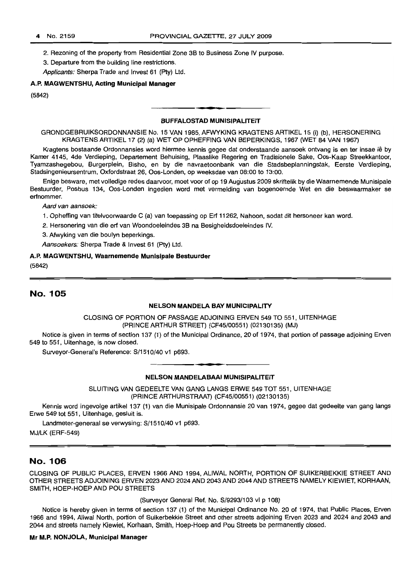2. Rezoning of the property from Residential Zone 3B to Business Zone IV purpose.

3. Departure from the building line restrictions.

Applicants: Sherpa Trade and Invest 61 (Pty) Ltd.

#### A.P. MAGWENTSHU, Acting Municipal Manager

(5842)

#### BUFFALOSTAD MUNISIPALITEIT

GRONDGEBRUIKSORDONNANSIE No. 15 VAN 1985, AFWYKING KRAGTENS ARTIKEL 15 (i) (b), HERSONERING KRAGTENS ARTIKEL 17 (2) (a) WET OP OPHEFFING VAN BEPERKINGS, 1967 (WET 84 VAN 1967)

**- .**

Kragtens bostaande Ordonnansies word hiermee kennis gegee dat onderstaande aansoek ontvang is en ter insae lê by Kamer 4145, 4de Verdieping, Departement Behuising, Plaaslike Regering en Tradisionele Sake, Oos-Kaap Streekkantoor, Tyamzashegebou, Burgerplein, Bisho, en by die navraetoonbank van die Stadsbeplanningstak, Eerste Verdieping, Stadsingenieursentrum, Oxfordstraat 26, Oos-Londen, op weeksdae van 08:00 to 13:00.

Enige besware, met volledige redes daarvoor, moet voor of op 19 Augustus 2009 skriftelik by die Waarnemende Munisipale Bestuurder, Posbus 134, Oos-Londen ingedien word met vermelding van bogenoemde Wet en die beswaarmaker se erfnommer.

Aard van aansoek:

1. Opheffing van titelvoorwaarde C (a) van toepassing op Erf 11262, Nahoon, sodat dit hersoneer kan word.

2. Hersonering van die erf van Woondoeleindes 3B na Besigheidsdoeleindes IV.

3. Afwyking van die boulyn beperkings.

Aansoekers: Sherpa Trade & Invest 61 (Pty) Ltd.

#### A.P. MAGWENTSHU, Waarnemende Munisipale Bestuurder

(5842)

## No. 105

#### NELSON MANDELA BAY MUNICIPALITY

CLOSING OF PORTION OF PASSAGE ADJOINING ERVEN 549 TO 551, UITENHAGE (PRINCE ARTHUR STREET) (CF45/00551) (02130135) (MJ)

Notice is given in terms of section 137 (1) of the Municipal Ordinance, 20 of 1974, that portion of passage adjoining Erven 549 to 551, Uitenhage, is now closed.

Surveyor-General's Reference: S/1510/40 v1 p693.

#### **• E** NELSON MANDELABAAI MUNISIPALITEIT

SLUITING VAN GEDEELTE VAN GANG LANGS ERWE 549 TOT 551, UITENHAGE (PRINCEARTHURSTRAAT) (CF45/00551) (02130135)

Kennis word ingevolge artikel 137 (1) van die Munisipale Ordonnansie 20 van 1974, gegee dat gedeelte van gang langs Erwe 549 tot 551, Uitenhage, gesluit is.

Landmeter-generaal se verwysing: S/1510/40 v1 p693.

MJ/LK (ERF-549)

#### No. 106

CLOSING OF PUBLIC PLACES, ERVEN 1966 AND 1994, ALIWAL NORTH, PORTION OF SUIKERBEKKIE STREET AND OTHER STREETS ADJOINING ERVEN 2023 AND 2024 AND 2043 AND 2044 AND STREETS NAMELY KIEWIET, KORHAAN, SMITH, HOEP-HOEP AND POU STREETS

(Surveyor General Ref. No. S/9293/103 vi P 108)

Notice is hereby given in terms of section 137 (1) of the Municipal Ordinance No. 20 of 1974, that Public Places, Erven 1966 and 1994, Aliwal North, portion of Suikerbekkie Street and other streets adjoining Erven 2023 and 2024 and 2043 and 2044 and streets namely Kiewiet, Korhaan, Smith, Hoep-Hoep and Pou Streets be permanently closed.

#### Mr M.P. NONJOLA, Municipal Manager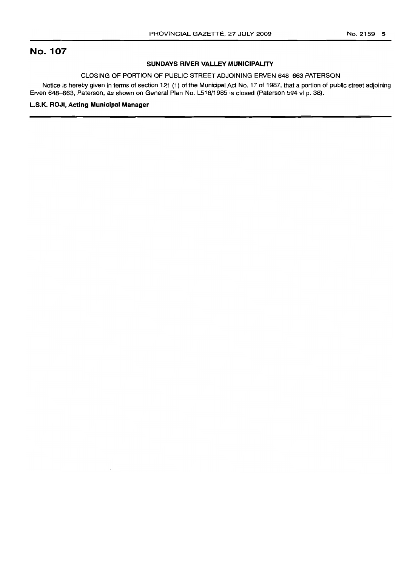## **No. 107**

#### **SUNDAYS RIVER VALLEY MUNICIPALITY**

#### CLOSING OF PORTION OF PUBLIC STREET ADJOINING ERVEN 648-663 PATERSON

Notice is hereby given in terms of section 121 (1) of the Municipal Act No. 17 of 1987. that a portion of public street adjoining Erven 648-663, Paterson, as shown on General Plan No. L518/1985 is closed (Paterson 594 vi p. 38).

#### L.S.K. **ROJI, Acting Municipal Manager**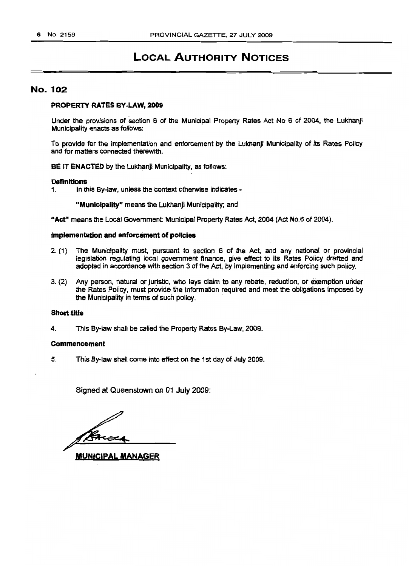## LOCAL AUTHORITY NOTICES

#### No. 102

#### PROPERTY RATES BY-LAW, 2009

Under the provisions of section 6 of the Municipal Property Rates Act No 6 of 2004, the Lukhanji Municipality enacts as follows:

To provide for the implementation and enforcement by the Lukhanjl Municipality of its Rates Policy and for matters connected therewith.

BE IT ENACTED by the Lukhanji Municipality, as follows:

## **Definitions**<br>1. In the

1. In this By-law, unless the context otherwise indicates -

"Municipality" means the Lukhanji Municipality; and

"Act" means the Local Government: Municipal Property Rates Act, 2004 (Act NO.6 of 2004).

#### Implementation and enforcement of policies

- 2. (1) The Municipality must, pursuant to section 6 of the Act, and any national or provincial legislation regulating local government finance, give effect to its Rates Policy drafted and adopted in accordance with section 3 of the Act, by implementing and enforcing such policy.
- 3. (2) Any person, natural or juristic, who lays claim to any rebate, reduction, or exemption under the Rates Policy, must provide the information required and meet the obligations imposed by the Municipality in terms of such policy. .

#### Short title

4. This By-law shall be called the Property Rates By-Law, 2009.

#### Commencement

5. This By-law shall come into effect on the 1st day of July 2009.

Signed at Queenstown on 01 July 2009:

MUNICIPAL MANAGER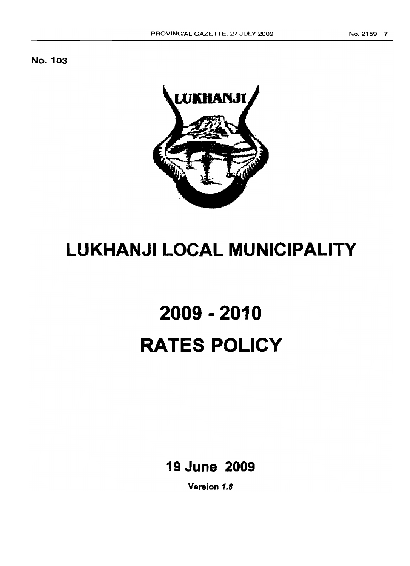



# **LUKHANJI LOCAL MUNICIPALITY**

# **2009 - 2010 RATES POLICY**

**19 June 2009**

**Version 1.8**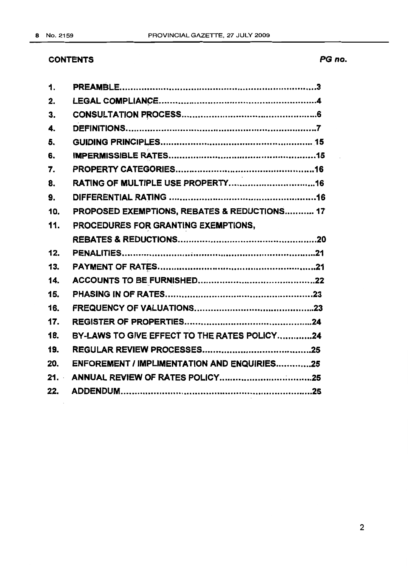## **CONTENTS**

| $\mathbf{1}$ |                                                    |
|--------------|----------------------------------------------------|
| 2.           |                                                    |
| 3.           |                                                    |
| 4.           |                                                    |
| 5.           |                                                    |
| 6.           |                                                    |
| 7.           |                                                    |
| 8.           |                                                    |
| 9.           |                                                    |
| 10.          | PROPOSED EXEMPTIONS, REBATES & REDUCTIONS 17       |
| 11.          | PROCEDURES FOR GRANTING EXEMPTIONS.                |
|              |                                                    |
| 12.          |                                                    |
| 13.          |                                                    |
| 14.          |                                                    |
| 15.          |                                                    |
| 16.          |                                                    |
| 17.          |                                                    |
| 18.          | BY-LAWS TO GIVE EFFECT TO THE RATES POLICY24       |
| 19.          |                                                    |
| 20.          | <b>ENFOREMENT / IMPLIMENTATION AND ENQUIRIES25</b> |
| 21.          |                                                    |
| 22.          |                                                    |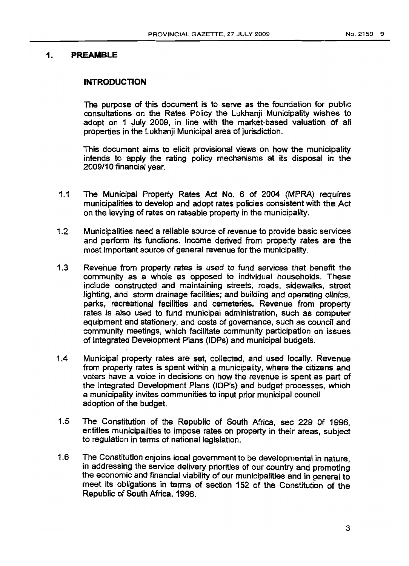#### **1. PREAMBLE**

#### **INTRODUCTION**

The purpose of this document is to serve as the foundation for public consultations on the Rates Policy the Lukhanji Municipality wishes to adopt on 1 July 2009, in line with the market-based valuation of all properties in the Lukhanji Municipal area of jurisdiction.

This document aims to elicit provisional views on how the municipality intends to apply the rating policy mechanisms at its disposal in the 2009/10 financial year.

- 1.1 The Municipal Property Rates Act No. 6 of 2004 (MPRA) requires municipalities to develop and adopt rates policies consistent with the Act on the levying of rates on rateable property in the municipality.
- 1.2 Municipalities need a reliable source of revenue to provide basic services and perform its functions. Income derived from property rates are the most important source of general revenue for the municipality.
- 1.3 Revenue from property rates is used to fund services that. benefit the community as a whole as opposed to individual households. These include constructed and maintaining streets, roads, sidewalks, street lighting, and storm drainage facilities; and building and operating clinics, parks, recreational facilities and cemeteries. Revenue from property rates is also used to fund municipal administration, such as computer equipment and stationery, and costs of governance, such as council and community meetings, which facilitate community participation on issues of Integrated Development Plans (IDPs) and municipal budgets.
- 1.4 Municipal property rates are set, collected, and used locally. Revenue from property rates is spent within a municipality, where the citizens'and voters have a voice in decisions on how the revenue is spent as part of the Integrated Development Plans (lOP's) and budget processes, which a municipality invites communities to input prior municipal council adoption of the budget.
- 1.5 The Constitution of the Republic of South Africa, sec 229 Of 1996, entitles municipalities to impose rates on property in their areas. subject to regulation in terms of national legislation.
- 1.6 The Constitution enjoins local government to be developmental in nature, in addressing the service delivery priorities of our country and promoting the economic and financial viability of our municipalities and in general to meet its obligations in terms of section 152 of the Constitution of the Republic of South Africa. 1996.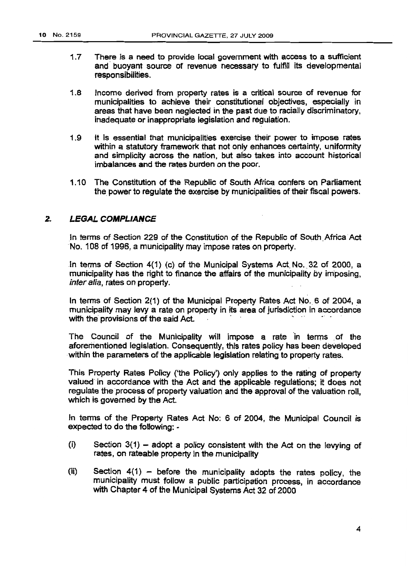- 1.7 There is a need to provide local government with access to a sufficient and' buoyant source of revenue necessary to fulfill its developmental responsibilities.
- 1.8 Income derived from property rates is a critical source of revenue for municipalities to achieve their constitutional Objectives, especially in areas that have been neglected in the past due to racially discriminatory, inadequate or inappropriate legislation and regulation.
- 1.9 It is essential that municipalities exercise their power to impose rates within a statutory framework that not only enhances certainty, uniformity and simplicity across the nation, but also takes into account historical imbalances and the rates burden on the poor.
- 1.10 The Constitution of the Republic of South Africa confers on Parliament the power to regulate the exercise by municipalities of their fiscal powers.

## *2.* **LEGAL COMPLIANCE**

In terms of Section 229 of the Constitution of the Republic of South Africa Act No. 108 of 1996, a municipality may impose rates on property.

In terms of Section 4(1) (c) of the Municipal Systems Act. No., 32 of 2000, a municipality has the right to finance the affairs of the municipality by lmposinq, inter alia, rates on property.

In terms of Section 2(1} of the Municipal Property Rates Act NO.6 of 2004, a municipality may levy a rate on property in its area of jurisdiction in accordance with the provisions of the said Act.

The Council of the Municipality will impose a rate ln terms of the aforementioned legislation. Consequently, this rates policy has been developed within the parameters of the applicable legislation relating to property rates.

This Property Rates Policy ('the Policy') only applies to the rating of property valuedin accordance with the Act and the applicable, regulations; it does not regulate the process of property valuation and the approval of the valuation roll, which is governed by the Act.

In terms of the Property Rates Act No: 6 of 2004, the Municipal Council is expected to do the following: -

- (i) Section  $3(1)$  adopt a policy consistent with the Act on the levying of rates, on rateable property in the municipality
- (ii) Section  $4(1)$  before the municipality adopts the rates policy, the municipality must follow a public participation process, in accordance with Chapter 4 of the Municipal Systems Act 32 of 2000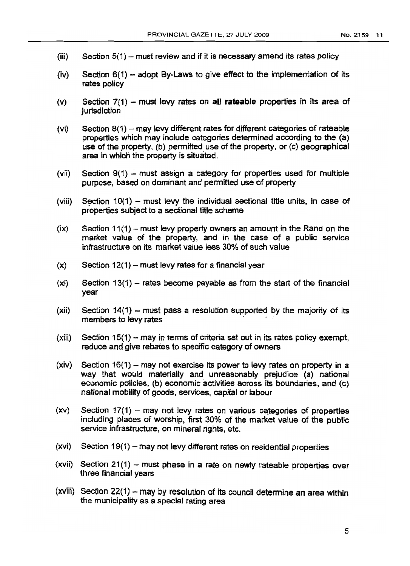- $(iii)$  Section 5(1) must review and if it is necessary amend its rates policy
- (iv) Section  $6(1)$  adopt By-Laws to give effect to the implementation of its rates policy
- (v) Section 7(1) must levy rates on **all rateable** properties in its area of jurisdiction
- (vi) Section  $8(1)$  may levy different rates for different categories of rateable properties which may include categories determined according to the (a) use of the property, (b) permitted use of the property, or (c) geographical area in which the property is situated,
- (vii) Section  $9(1)$  must assign a category for properties used for multiple purpose, based on dominant and permitted use of property
- (viii) Section 10(1) must levy the individual sectional title units, in case of properties subject to a sectional title scheme
- $(ix)$  Section 11(1) must levy property owners an amount in the Rand on the market value of the property, and in the case of a public service infrastructure on its market value less 30% of such value
- $(x)$  Section 12(1) must levy rates for a financial year
- $(xi)$  Section 13(1) rates become payable as from the start of the financial year
- $(xii)$  Section 14(1) must pass a resolution supported by the majority of its members to levy rates
- $(xii)$  Section 15(1) may in terms of criteria set out in its rates policy exempt, reduce and give rebates to specific category of owners
- $(xiv)$  Section 16(1) may not exercise its power to levy rates on property in a way that would materially and unreasonably prejudice (a) national economic policies, (b) economic activities across its boundaries, and (c) national mobility of goods, services. capital or labour
- $(xv)$  Section 17(1) may not levy rates on various categories of properties including places of worship, first 30% of the market value of the public service infrastructure, on mineral rights, etc.
- $(xvi)$  Section 19(1) may not levy different rates on residential properties
- $(xvii)$  Section 21(1) must phase in a rate on newly rateable properties over three financial years
- (xviii) Section  $22(1)$  may by resolution of its council determine an area within the municipality as a special rating area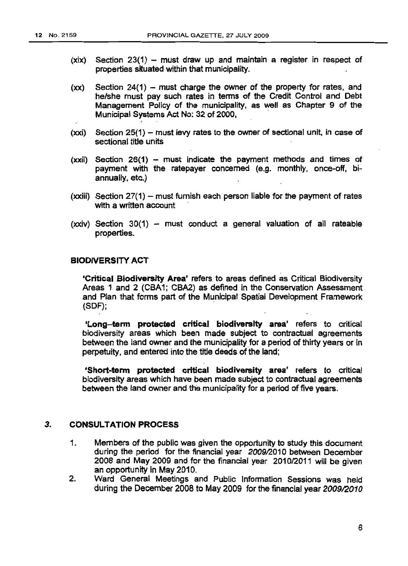- $(xix)$  Section 23(1) must draw up and maintain a register in respect of properties situated within that municipality.
- $(xx)$  Section 24(1) must charge the owner of the property for rates, and he/she must pay such rates in terms of the Credit Control and Debt Management Policy of the municipality, as well as Chapter 9 of the Municipal Systems Act No: 32 of 2000, .
- $(xxi)$  Section 25(1) must levy rates to the owner of sectional unit, in case of sectional title units
- $(xxi)$  Section 26(1) must indicate the payment methods and times of payment with the ratepayer concerned (e.g. monthly, once-off, biannually, etc.)
- $(xxiii)$  Section 27(1) must furnish each person liable for the payment of rates with a written account
- $(xxi)$  Section 30(1) must conduct a general valuation of all rateable properties. .

#### BIODIVERSITY ACT

. . 'Critical Biodiversity Area' refers.to areas defined as Critical Biodiversity Areas 1 and 2 (CBA1; CBA2) as defined in the Conservation Assessment and Plan that forms part of the Municipal Spatial Development Framework  $(SDF)$ ;

'Long-term protected critical biodiversity area' refers to critical biodiversity areas which been made SUbject to contractual agreements between the land owner and the municipality for a period of thirty years or in perpetuity, and entered into the title deeds of the land;

'Short-term protected critical biodiversity area' refers to critical biodiversity areas which have been made subject to contractual agreements between the land owner and the municipality for a period of five years.

#### 3. CONSULTATION PROCESS

- 1. Members of the public was given the opportunity to study this document during the period for the financial year 2009/2010 between December 2008 and May 2009 and for the financial year 2010/2011 will be given an opportunity in May *2010.*
- 2. Ward General Meetings and Public Information Sessions was held during the December 2008 to May 2009 for the financial year 2009/2010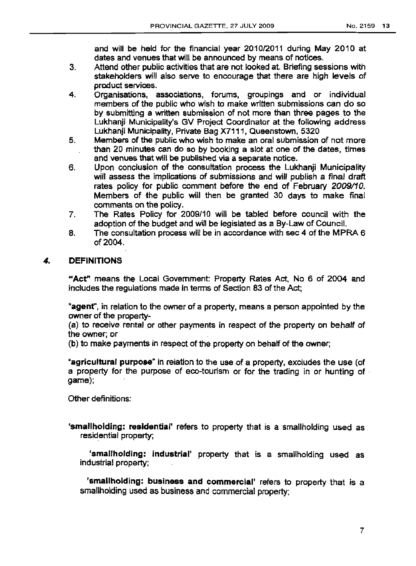and will be held for the financial year 2010/2011 during May 2010 at dates and venues that will be announced by means of notices.

- 3. Attend other public activities that are not looked at. Briefing sessions with stakeholders will also serve to encourage that there are high levels of product services.
- 4. Organisations, associations, forums, groupings and or individual members of the public who wish to make written submissions can do so by submitting a written submission of not more than three pages to the Lukhanji Municipality's GV Project Coordinator at the following address Lukhanji Municipality, Private Bag X7111, Queenstown, 5320
- 5. Members of the public who wish to make an oral submission of not more than 20 minutes can do so by booking a slot at one of the dates, times and venues that will be published via a separate notice.
- 6. Upon conclusion of the consultation process the Lukhanji Municipality will assess the implications of submissions and will puplish a final draft rates policy for public comment before the end of February 2009/10. Members of the public will then be granted 30 days to make final comments on the policy.
- 7. The Rates Policy for 2009/10 will be tabled before council with the adoption of the budget and will be legislated as a By-Law of Council.
- 8. The consultation process will be in accordance with sec 4 of the MPRA 6 of 2004.

## 4. DEFINITIONS

"Act" means the Local Government: Property Rates Act, No 6 of 2004 and includes the regulations made in terms of Section 83 of the Act;

"agent", in relation to the owner of a property, means a person appointed by the owner of the property-

(a) to receive rental or other payments in respect of the property on behalf of the owner; or

(b) to make payments in respect of the property on behalt of the owner;

"agricultural purpose" in relation to the use of a property, excludes the use (of a property for the purpose of eco-tourism or for the trading in or hunting of . game);

Other definitions:

'smallholding: residential' refers to property that is a smallholding used as residential property;

'smallholding: industrial' property that is a smallholding used as industrial property; .

'smallholding: business and commercial' refers to property that is a smallholding used as business and commercial property;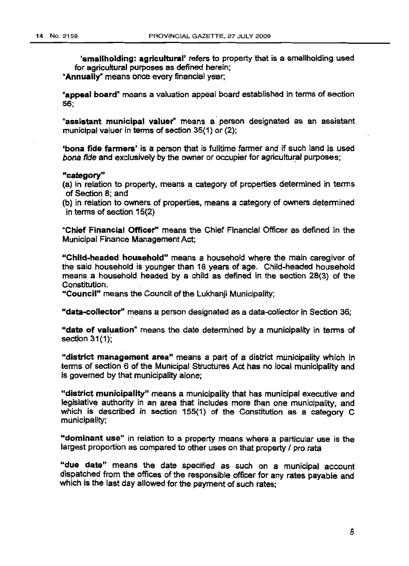'smallholding: agricultural' refers to property that is a smallholding used .for agricultural purposes as defined herein;

"Annually" means once every financial year,

"appeal board" means a valuation appeal board established in terms of section 56;

"assistant municipal valuer" means a person designated as an assistant municipal valuer in terms of section 35(1) or (2);

-bona fide fanners' is a person that is fuJltime farmer and if such land is used bona fide and exclusively by the owner or occupier for agricultural purposes;

#### "category"

- (a) in relation to property, means a category of properties determined in terms of Section 8; and
- (b) in relation to owners of properties, means a category of owners determined in terms of section 15(2)

"Chief Financial Officer'r means the Chief Financial Officer as defined in the Municipal Finance Management Act;

-'Child·headed household" means a household where the main caregiver of the said household is youhger than 18 years of age. Child-headed household means a household headed by a child as defined in the section 28(3) of the Constitution.

"Council" means the Council of the Lukhanji Municipality;

"data-eollector" means a person designated as a data-collector in Section 36;

"date of valuation" means the date determined by a municipality in terms of section 31(1);

"district management area" means a part of a district municipality which in terms of section 6 of the Municipal Structures Act has no local municipality and is governed by that municipality alone;

"district municipality" means a municipality that has municipal executive and legislative authority in an area that includes more than one municipality, and which is described in section 155(1) of the Constitution as a category C municipality;

"dominant use" in relation to a property means where a particular use is the largest proportion as compared to other uses on that property / pro rata

"due date" means the date specified as such on a municipal account dispatched from the offices of the responsible officer for any rates payable and which is the last day allowed for the payment of such rates;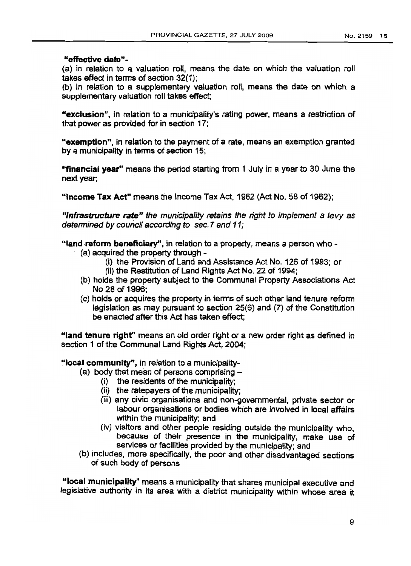#### "effective date"-

(a) in relation to a valuation roll, means the date on which the valuation roll takes effect in terms of section 32(1);

(b) in relation to a supplementary valuation roll, means the date on which a supplementary valuation roll takes effect;

·'exclusion", in relation to a municipality's rating power, means a restriction of that power as provided for in section 17;

"exemption", in relation to the payment of a rate, means an exemption granted by a municipality in terms of section 15;

"financial year" means the period starting from 1 July in a year to 30 June the next year;

"Income Tax Act" means the Income Tax Act, 1962 (Act No. 58 of 1962);

"/nfrastructure rate" the municipality retains the right to implement a levy as determined by council according to sec.7 and 11;

"land reform beneficiary", in relation to a property, means a person who -

- (a) acquired the property through-
	- (i) the Provision of Land and Assistance Act No. 126 of 1993; or
	- (ii) the Restitution of Land Rights Act No. 22 of 1994;
- (b) holds the property SUbject to the Communal Property Associations Act No 28 of 1996;
- (c) holds or acquires the property in terms of such other land tenure reform legislation as may pursuant to section 25(6) and (7) of the Constitution .be enacted after this Act has taken effect;

"land tenure right" means an old order right or a new order right as defined in section 1 of the Communal Land Rights Act, 2004;

"local community", in relation to a municipality-

- (a) body that mean of persons comprising  $-$ 
	- (i) the residents of the municipality;
	- (ii) the ratepayers of the municipality;
	- (iii) any civic organisations and non-govemmental, private sector or labour organisations or bodies which are involved in local affairs within the municipality; and
	- (iv) visitors and other people residing outside the municipality who, because of their presence in the municipality, make use of services or facilities provided by the municipality; and
- (b) includes, more specifically, the poor and other disadvantaged sections of such body of persons <

"local municipalitY' means a municipality that shares municipal executive and legislative authority in its area with a district municipality within whose area it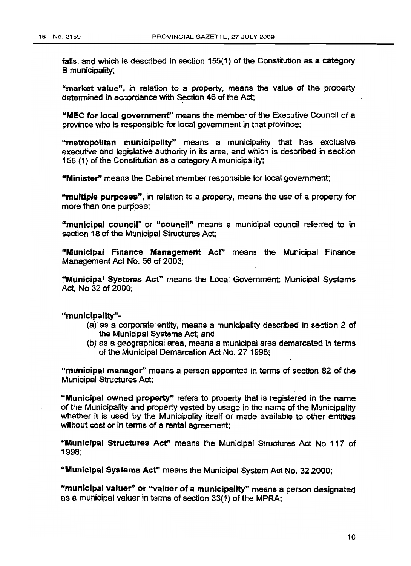falls, and which is described in section 155(1} of the Constitution as a category B municipality;

"market value", in relation to a property, means the value of the property determined in accordance with Section 46 of the Act;

"MEC for local government" means the member of the Executive Council of a province who is responsible for local government in that province;

"metropolitan municipality" means a municipality that has exclusive executive and legislative authority in its area, and which is described in section 155 (1) of the Constitution as a category A municipality;

"Minister" means the Cabinet member responsible for local government;

"multiple purposes", in relation to a property, means the use of a property for more than one purpose;

"municipal council" or "council" means a municipal council referred to in section 18 of the Municipal Structures Act:

"Municipal Finance Management Act" means the Municipal Finance Management Act No. 56 of 2003;

~'Municipal Systems Act' means the Local Government: Municipal Systems Act, No 32 of 2000;

"municipality"-

- (a) as a corporate entity, means a municipality described in section 2 of the Municipal Systems Act; and
- (b) as a geographical area, means a municipal area demarcated in terms of the Municipal Demarcation Act No. 27 1998;

"municipal manager" means a person appointed in terms of section 82 of the Municipal Structures Act;

"Municipal owned property" refers to property that is registered in the name of the Municipality and property vested by usage in the name of the Municipality whether it is used by the Municipality itself or made available to other entities without cost or in terms of a rental agreement;

"Municipal Structures Act" means the Municipal Structures Act No 117 of 1998;

"Municipal Systems Acf' means the Municipal System Act No. 32 2000;

"municipal valuer" or "valuer of a municipality" means a person designated as a municipal valuer in terms of section 33(1) of the MPRA;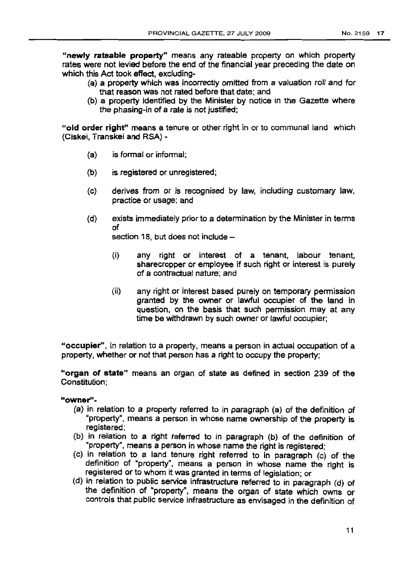"newly rateable property" means any rateable property on which property rates were not levied before the end of the financial year preceding the date on which this Act took effect, excluding-

- (a) a property which was incorrectly omitted from a valuation roll and for that reason was not rated before that date; and
- (b) a property identified by the Minister by notice in the Gazette where the phasing-in of a rate is not justified;

"old order right" means a tenure or other right in or to communal land which (Ciskei, Transkei and RSA) -

- (a) is formal or informal;
- (b) is registered or unregistered;
- (c) derives from or is recognised by law, including customary law, practice or usage; and
- (d) exists immediately prior to a determination by the Minister in terms of

section 18, but does not include  $-$ 

- (i) any right or interest of a tenant, labour tenant, sharecropper or employee if such right or interest is purely of a contractual nature; and
- (ii) any right or interest based purely on temporary permission granted by the owner or lawful occupier of the land in question, on the basis that such permission may at any time be withdrawn by such owner or lawful occupier;

"occupier", in relation to a property, means a person in actual occupation of a property, whether or not that person has a right to occupy the property;

"organ of state" means an organ of state as defined in section 239 of the Constitution;

## "owner"-

- (a) in relation to a property referred to in paragraph (a) of the definition of "property". means a person in whose name ownership of the property is registered;
- (b) in relation to a right referred to in paragraph (b) of the definition of "property", means a person in whose name the right is registered;
- (c) in relation to a land tenure right referred to in paragraph (c) of the definition of "property", means a person in whose name the right is registered or to whom it was granted in terms of legislation; or
- (d) in relation to public service infrastructure referred to in paragraph (d) of the definition of "property", means the organ of state which owns or controls that public service infrastructure as envisaged in the definition of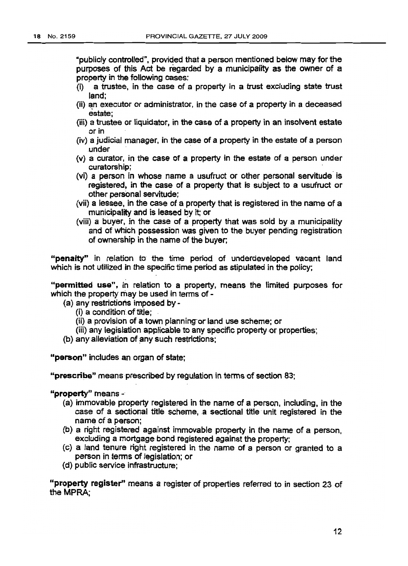"publicly controlled". provided that a person mentioned below may for the purposes of this Act be regarded by a municipality as the owner of a property in the following cases:

- (i) a trustee, in the case of a property in a trust excluding state trust land;
- $(i)$  an executor or administrator, in the case of a property in a deceased estate;
- (iii) a trustee or liquidator, in the case of a property in an insolvent estate or in
- (iv) a judicial manager. in the case of a property in the estate of a person under .
- (v) a curator, in the case of a property in the estate of a person under curatorship; .
- (vi) a person in whose name a usufruct or other personal servitude is registered, in the case of a property that is SUbject to a usufruct or other personal servitude;
- (vii) a lessee. in the case of a property that is registered in the name of a municipality and is leased by it; or
- (viii) a buyer, in the case of a property that was sold by a municipality and of which possession was given to the buyer pending registration of ownership in the name of the buyer;

"penalty"' in relation to the time period of underdeveloped vacant land which is not utilized in the specific time period as stipulated in the policy;

"permitted use", in relation to a property, means the limited purposes for which the property may be used in terms of -

- (a) any restrictions imposed by
	- (i) a condition of title;
	- (ii) a provision of a town planning or land use scheme; or
	- (iii) any legislation applicable to any specific property·or properties;
- (b) any alleviation of any such restrictions;

"person" includes an organ of state;

"prescribe" means prescribed by regulation in terms of section 83;

"property" means -

- (a) immovable property registered in the name of a person, including, in the case of a sectional title scheme, a sectional title unit registered in the name of a person;
- (b) a right registered against immovable property in the name of a person, excluding a mortgage bond registered against the property;
- (c) a land tenure right registered in the name of a person or granted to a person in terms of legislation; or
- (d) public service infrastructure;

"property register" means a register of properties referred to in section 23 of the MPRA;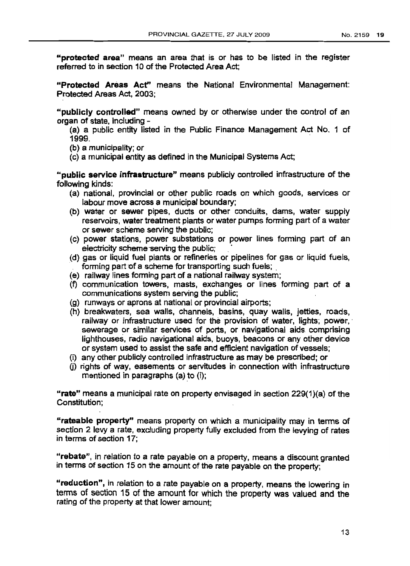"protected area" means an area that is or has to be listed in the register referred to in section 10 of the Protected Area Act;

"Protected Areas Acf' means the National Environmental Management: Protected Areas Act, 2003;

"publicly controlled" means owned by or otherwise under the control of an organ of state, including -

(a) a public entity listed in the Public Finance Management Act No. 1 of 1999. .

(b) a municipality; or

(c) a municipal entity as defined in the Municipal Systems Act;

"public service infrastructure" means publicly controlled infrastructure of the following kinds:

- (a) national, provincial or other public roads on which goods, services or labour move across a municipal boundary;
- (b) water or sewer pipes, ducts or other conduits, dams, water supply reservoirs, water treatment plants or water pumps forming part of a water or sewer scheme serving the public;
- (c) power stations, power substations or power lines forming part of an electricity scheme-serving the public;
- (d) gas or liquid fuel plants or refineries or pipelines for gas or liquid fuels, forming part of a scheme for transporting such fuels;
- (e) railway lines forming part of a national railway system;
- (f) communication towers, masts, exchanges or lines forming part of a communications system serving the public;
- (g) runways or aprons at national or provincial airports;
- (h) breakwaters, sea walls, channels, basins, quay walls, jetties, roads, railway or infrastructure used for the provision of water, lights; power,' sewerage or similar services of ports, or navigational aids comprising lighthouses, radio navigational aids, buoys, beacons or any other device or system used to assist the safe and efficient navigation of vessels;
- (i) any other pUblicly controlled infrastructure as may be prescribed; or
- (j) rights of way, easements or servitudes in connection with infrastructure mentioned in paragraphs (a) to (i);

"rate" means a municipal rate on property envisaged in section  $229(1)(a)$  of the Constitution;

"rateable property" means property on which a municipality may in terms of section 2 levy a rate, excluding property fully excluded from the levying of rates in terms of section 17;

"rebate", in relation to a rate payable on a property, means a discount granted in terms of section 15 on the amount of the rate payable on the property;

"reduction", in relation to a rate payable on a property, means the lowering in terms of section 15 of the amount for which the property was valued and the rating of the property at that lower amount;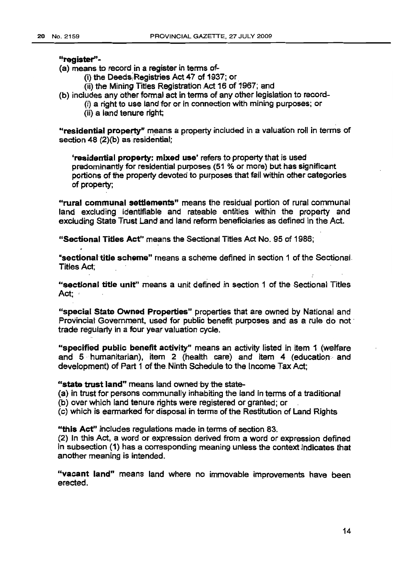#### ~register"•

(a) means to record in a register in terms of-

- (i) the Deeds Registries Act 47 of 1937; or
	- (ii) the Mining Titles Registration Act 16 of 1967; and
- (b) includes any other formal act in terms of any other legislation to record-
	- (i) a right to use land for or in connection with mining purposes; or
	- (ii) a land tenure right;

"residential property" means a property included in a valuation roll in terms of section 48 (2)(b) as residential:

'residential property: mixed use' refers to property that is used predominantly for residential purposes (51 % or more) but has significant portions of the property devoted to purposes that fall within other categories of property;

"rural communal settlements" means the residual portion of rural communal land excluding identifiable and rateable entities within the property and excluding State Trust Land and land reform beneficiaries as defined in the Act.

"Sectional Titles Act" means the Sectional Titles Act No. 95 of 1986;

"sectional' title scheme" means a scheme defined in section 1 of the Sectional. Titles Act;

"sectional title unit" means a unit defined in section 1 of the Sectional Titles Act:

"special State Owned Properties" properties that are owned by National and Provincial Government, used for public benefit purposes and as a rule do not trade regularly in a four year valuation cycle.

"specified public benefit activity" means an activity listed in item 1 (welfare and 5· humanitarian), item 2 (health care) and item 4 (educatlon. and development) of Part 1 of the Ninth Schedule to the Income Tax Act:

#### "state trust land" means land owned by the state-

(a) in trust for persons communally inhabiting the land in terms of a traditional

(b) over which land tenure rights were registered or granted; or

(c) which is earmarked for disposal in terms of the Restitution of Land Rights

"this Act" includes regulations made in terms of section 83.

(2) In this Act, a word or expression derived from a word or expression defined in subsection (1) has a corresponding meaning unless the context indicates that another meaning is intended.

"vacant land" means land where no immovable improvements have been erected.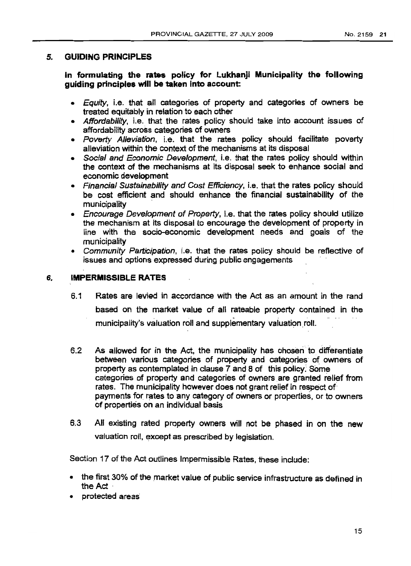## 5. GUIDING PRINCIPLES

In formulating the rates policy for Lukhanji Municipality the following guiding principles will be taken into account:

- Equity, i.e. that all categories of property and categories of owners be treated equitably in relation to each other
- Affordability, i.e. that the rates policy should take into account issues of affordability across categories of owners
- Poverty Alleviation, i.e. that the rates policy should facilitate poverty alleviation within the context of the mechanisms at its disposal
- Social and Economic Development, i.e. that the rates policy should within the context of the mechanisms at its disposal seek to enhance social and economic development
- Financial Sustainability and Cost Efficiency, i.e. that the rates policy should be cost efficient and should enhance the financial sustainability of the municipality .
- Encourage Development of Property, i.e. that the rates policy should utilize the mechanism at its disposal to encourage the development of property in line with the socio-economic development needs and goals of the municipality
- Community Participation, i.e. that the rates policy should be reflective of issues and options expressed during public engagements

#### 6. IMPERMISSIBLE RATES

- 6.1 Rates are levied in accordance with the Act as an amount in the rand based on the market value of all rateable property contained in the municipality's valuation roll and supplementary valuation roll.
- 6.2 As allowed for in the Act, the municipality has chosen to differentiate between various categories of property and categories of owners of property as contemplated in clause 7 and 8 of this policy; Some categories of property and categories of owners are granted relief from rates. The municipality however does not grant relief in respect of payments for rates to any category of owners or properties, or to owners of properties on an individual basis
- 6.3 All existing rated property owners will not be phased in on the new valuation roll, except as prescribed by legislation.

Section 17 of the Act outlines Impermissible Rates, these include:

- the first 30% of the market value of public service infrastructure as defined in the Act.
- protected areas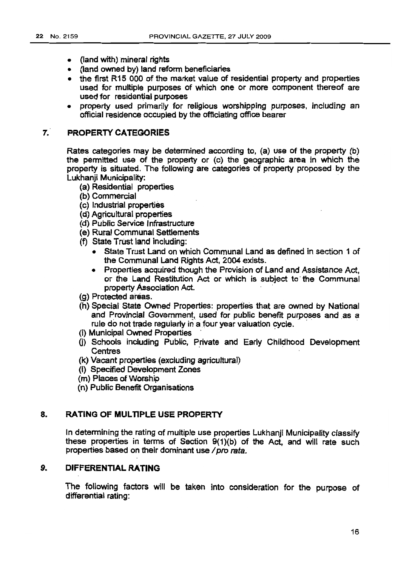- (land with) mineral rights
- (land owned by) land reform beneficiaries
- the first R15 000 of the market value of residential property and properties used for multiple purposes of which one or more component thereof are used for residential purposes
- property used primarily for religious worshipping purposes, including an official residence occupied by the officiating office bearer

#### 7.· **PROPERTY CATEGORIES**

Rates categories may be determined according to, (a) use of the property (b) the permitted use of the property or (c) the geographic area in which the property is situated. The following are categories of property proposed by the Lukhanii Municipality:

- (a) Residential properties
- (b) Commercial
- (c) Industrial properties
- (d) Agricultural properties
- (d) Public Service Infrastructure
- (e) Rural Communal Settlements
- (f) State Trust land including:
	- State Trust Land on which Communal Land as defined in section 1 of the Communal Land Rights Act, 2004 exists.
	- Properties acquired though the Provision of Land and Assistance Act, or the Land Restitution Act or which is subject to' the Communal property Association Act.
- (g) Protected areas.
- (h) Special State Owned Properties: properties that are owned by National and Provincial Government, used for public benefit purposes and as a rule do not trade regularly in a four year valuation cycle.
- (i) Municipal Owned Properties
- (j) Schools inclUding Public, Private and Early Childhood Development **Centres**
- (k) Vacant properties (excluding agricultural)
- (I) Specified Development Zones
- (m) Places of Worship
- (n) Public Benefit Organisations

### 8. RATING OF MULTIPLE USE PROPERTY

In detennining the rating of multiple use properties Lukhanji Municipality classify these properties in terms of Section 9(1)(b) of the Act, and will rate such properties based on their dominant use / pro rata.

## 9. **DIFFERENTIAL RATING**

The following factors will be taken into consideration for the purpose of differential rating: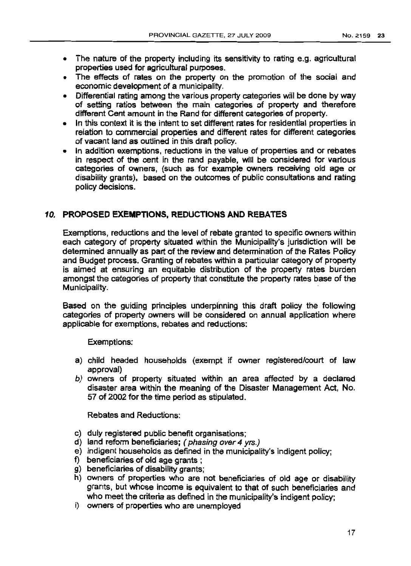- The nature of the property including its sensitivity to rating e.g. agricultural properties used for agricultural purposes.
- The effects of rates on the property on the promotion of the social and economic development of a municipality.
- Differential rating among the various property categories will be done by way of setting ratios between the main categories of property and therefore different Cent amount in the Rand for different categories of property.
- In this context it is the intent to set different rates for residential properties in relation to commercial properties and different rates for different categories of vacant land as outlined in this draft policy.
- In addition exemptions, reductions in the value of properties and or rebates in respect of the cent in the rand payable, will be considered for various categories of owners, (such as for example owners receiving old age or disability grants), based on the outcomes of public consultations and rating policy decisions.

### 10. **PROPOSED EXEMPTIONS. REDUCTIONS AND REBATES**

Exemptions, reductions and the level of rebate granted to specific owners within each category of property situated within the Municipality's jurisdiction will be determined annually as part of the review and determination of the Rates Policy and Budget process. Granting of rebates Within a particular category of property is aimed at ensuring an equitable distribution of the property rates burden amongst the categories of property that constitute the property rates base of the Municipality.

Based on the guiding principles underpinning this draft policy the following categories of property owners will be considered on annual application where applicable for exemptions, rebates and reductions:

Exemptions:

- a) child headed households (exempt if owner registered/court of law approval)
- b) owners of property situated within an area affected by a declared disaster area within the meaning of the Disaster Management Act, No. 57 of 2002 for the time period as stipulated.

Rebates and Reductions:

- c) duly registered public benefit organisations;
- d) land reform beneficiaries; ( phasing over 4 yrs.)
- e} indigent households as defined in the municipality's indigent policy;
- f) beneficiaries of old age grants;
- g} beneficiaries of disability grants;
- h) owners of properties who are not beneficiaries of old age or disability grants, but whose income is equivalent to that of such beneficiaries and who meet the criteria as defined in the municipality's indigent policy;
- i) owners of properties who are unemployed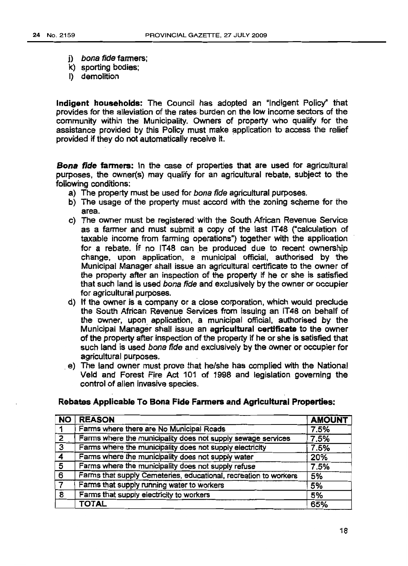- i) bona fide farmers:
- k) sporting bodies;
- I) demolition

Indigent households: The Council has adopted an "Indigent Policy" that provides for the alleviation of the rates burden on the low income sectors of the community within the Municipality. Owners of property who qualify for the assistance provided by this Policy must make application to access the relief provided if they do not automatically receive it.

Bona fide farmers: In the case of properties that are used for agricultural purposes, the owner(s) may qualify for an agricultural rebate, subject to the following conditions:

- a) The property must be used for bona fide agricultural purposes.
- b) The usage of the property must accord with the zoning scheme for the area.
- c) The owner must be registered' with the South African Revenue Service as a farmer and must submit a copy of the last IT48 ("calculation of taxable income from farming operations") together with the application for a rebate. if no IT48 can be produced due to recent ownership change, upon application, a municipal official, authorised by the Municipal Manager shall issue an agricultural certificate to the owner of the property after an inspection of the property if he or she is satisfied that such land is used bona fide and exclusively by the owner or occupier for agricultural purposes.
- d) If the owner is a company or a close corporation, which would preclude the South African Revenue Services from issuing an IT48 on behalf of the owner, upon application, a municipal official, authorised by the Municipal Manager shall issue an agricultural certificate to the owner of the property after inspection of the property if he or she is satisfied that such land is used bona fide and exclusively by the owner or occupier for agricultural purposes.
- . e) The land owner must prove that he/she has complied with the National Veld and Forest Fire Act 101 of 1998 and legislation governing the control of alien invasive species.

| <b>NO</b>               | <b>REASON</b>                                                    | <b>AMOUNT</b> |
|-------------------------|------------------------------------------------------------------|---------------|
|                         | Farms where there are No Municipal Roads                         | 7.5%          |
| $\mathcal{P}$           | Farms where the municipality does not supply sewage services     | 7.5%          |
| $\overline{\mathbf{3}}$ | Farms where the municipality does not supply electricity         | 7.5%          |
| $\overline{4}$          | Farms where the municipality does not supply water               | 20%           |
| 5                       | Farms where the municipality does not supply refuse              | 7.5%          |
| 6                       | Farms that supply Cemeteries, educational, recreation to workers | 5%            |
|                         | Farms that supply running water to workers                       | 5%            |
| 8                       | Farms that supply electricity to workers                         | 5%            |
|                         | <b>TOTAL</b>                                                     | 65%           |

#### Rebates Applicable To Bona Fide Farmers and Agricultural Properties: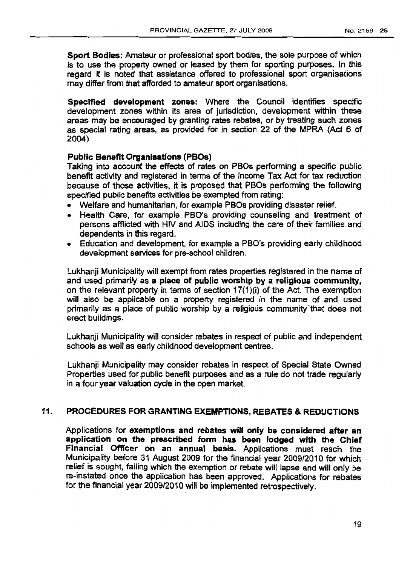Sport Bodies: Amateur or professional sport bodies, the sole purpose of which is to use the property owned or leased by them for sporting purposes. In this regard it is noted that assistance offered to professional sport organisations may differ from that afforded to amateur sport organisations.

Specified development zones: Where the Council identifies specific development zones within its area of jurisdiction, development within these areas may be encouraged by granting rates rebates, or by treating such zones as special rating areas, as provided for in section 22 of the MPRA (Act 6 of 2004)

## Public Benefit Organisations (PBOs)

Taking into account the effects of rates on PBOs performing a specific public benefit activity and registered in terms of the Income Tax Act for tax reduction because of those activities, it is proposed that PBOs performing the following specified public benefits activities be exempted from rating:

- Wetfare and humanitarian, for example PBOs providing disaster relief.
- Health Care, for example PBO's providing counseling and treatment of persons afflicted with HIV and AIDS including the care of their families and dependents in this regard.
- Education and development, for example a PBO's providing early childhood development services for pre-school children.

Lukhanji Municipality will exempt from rates properties registered in the name of and used primarily as a place of public worship by a religious community, on the relevant property in terms of section 17(1)(i) of the Act. The exemption will also be applicable on a property registered in the name of and used primarily as a place of public worship by a religious community that does not erect buildings.

Lukhanji Municipality will consider rebates in respect of public and independent schools as well as early childhood development centres.

Lukhanji Municipality may consider rebates in respect of Special State Owned Properties used for public benefit purposes and as a rule do not trade regularly in a four year valuation cycle in the open market.

## 11. PROCEDURES FOR GRANTING EXEMPTIONS, REBATES & REDUCTIONS

Applications for exemptions and rebates will only be considered after an application on the prescribed form has been lodged with the Chief Financial Officer on an annual basis. Applications must reach the Municipality before 31 August 2009 for the financial year 2009/2010 for which relief is sought, failing which the exemption or rebate will lapse and will only be re-instated once the application has been approved. Applications for rebates for the financial year 2009/2010 will be implemented retrospectively.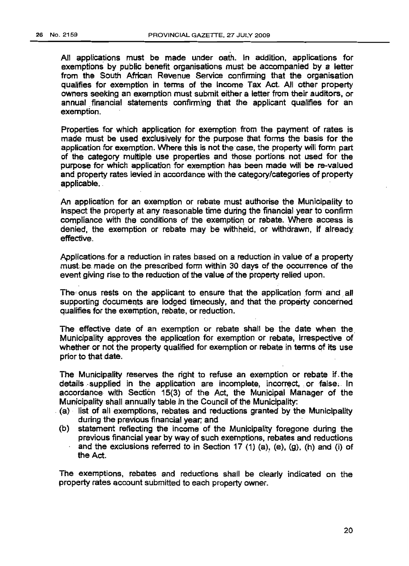All applications must be made under oath. In addition. applications for exemptions by public benefit organisations must be accompanied by a letter from the South African Revenue Service confirming that the organisation qualifies for exemption in terms of the Income Tax Act. All other property owners seeking an exemption must submit either a letter from their auditors, or annual financial statements confirming that the applicant qualifies for an exemption.

Properties for which application for exemption from the payment of rates is made must be used exclusively for the purpose that forms the basis for the application for exemption. Where this is not the case, the property will form part of the category multiple use properties and those portions. not used for the purpose for which application for exemption has been made will be re-valued and property rates levied in accordance with the category/categories of property applicable. . .

An application for an exemption or rebate must authorise the Municipality to inspect the property at any reasonable time during the financial· year to conflrm compliance with the conditions of the exemption or rebate. Where access is denied, the exemption or rebate may be withheld, or withdrawn, if already effective.

Applications for a reduction in rates based on a reduction in value of a property must, be.made on the prescribed form within 30 days of the occurrence of the event giving rise to the reduction of the value of the property relied upon.

The onus rests on the applicant to ensure that the application form and all supporting documents are lodged timeously, and that the property concerned qualifies for the exemption, rebate, or reduction.

The effective date of an exemption or rebate shall be the date when the. Municipality approves the application for exemption or rebate, irrespective of whether or not the property qualified for exemption or rebate in terms of its use prior to that date.

The Municipality reserves the right to refuse an exemption or rebate if. the details supplied in the application are incomplete, incorrect, or false. In accordance with Section 15(3) of the Act, the Municipal Manager of the Municipality shall annually table in the Council of the Municipality:

- . (a) list of all exemptions, rebates and reductions granted by the Municipality during the previous financial year; and
- (b) statement reflecting the income of the Municipality foregone during the previous financial year by way of such exemptions, rebates and reductions and the exclusions referred to in Section 17 (1) (a), (e), (g), (h) and (i) of the Act. .

The exemptions, rebates and reductions shall be clearly indicated on the property rates account submitted to each property owner.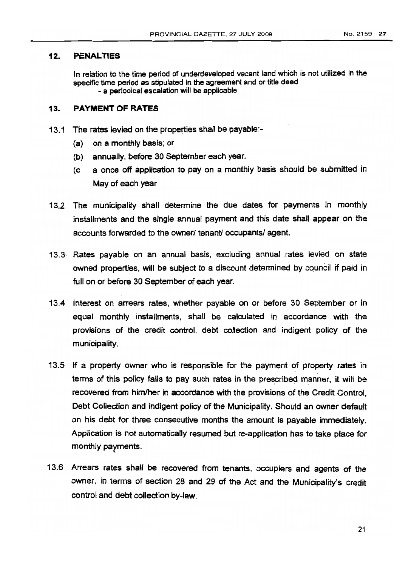#### 12. **PENALT1ES**

In relation to the time period of underdeveloped vacant land which is not utilized in the specific time period as stipulated in the agreement and or title deed - a periodical escalation will be applicable

#### 13. **PAYMENT OF RATES**

- 13.1 The rates levied on the properties shall be payable:-
	- (a) on a monthly basis; or
	- (b) annually, before 30 September each year.
	- (c a once off application to pay on a monthly basis should be submitted in May of each year
- 13.2 The municipality shall determine the due dates for payments in monthly installments and the single annual payment and this date shall appear on the accounts forwarded to the owner/ tenant/ occupants/ agent.
- 13.3 Rates payable on an annual basis, excluding annual rates levied on state owned properties, will be SUbject to a discount determined by council if paid in full on or before 30 September of each year.
- 13.4 Interest on arrears rates, whether payable on or before 30 September or in equal monthly installments, shall be calculated in accordance with the provisions of the credit control, debt collection and indiQent policy of the municipality.
- 13.5 If a property owner who is responsible for the payment of property rates in terms of this policy fails to pay such rates in the prescribed manner, it will be recovered from himlher in accordance with the provisions of the Credit Control, Debt Collection and indigent policy of the Municipality. Should an owner default on his debt for three consecutive months the amount is payable immediately. Application is not automatically resumed but re-application has to take place for monthly payments.
- 13.6 Arrears rates shall be recovered from tenants, occupiers and agents of the owner, in terms of section 28 and 29 of the Act and the Municipality's credit control and debt collection by-law.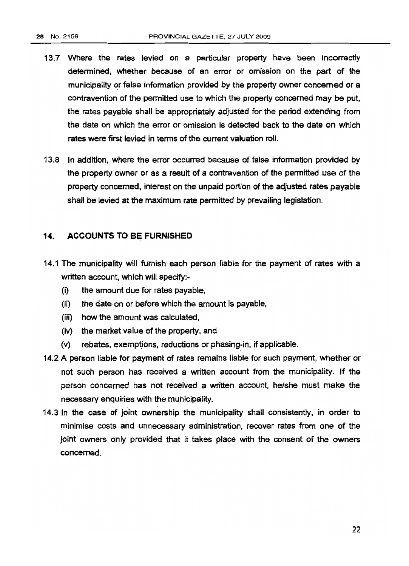- 13.7 Where the rates levied on a particular property have been incorrectly determined, whether because of an error or omission on the part of the municipality or false information provided by the property owner concerned or a contravention of the permitted use to which the property concerned may be put. the rates payable shall be appropriately adjusted for the period extending from the date on which the error or omission is detected back to the date on which rates were first levied in terms of the current valuation roll.
- 13.8 In addition, where the error occurred because of false information provided by the property owner or as a result of a contravention of the permitted use of the property concerned, interest on the unpaid portion of the adjusted rates payable shall be levied at the maximum rate permitted by prevailing legislation.

## 14. ACCOUNTS TO BE FURNISHED

- 14.1 The municipality will furnish each person liable for the payment of rates with a written account, which will specify:-
	- (i) the amount due for rates payable,
	- (ii) the date-on or before which the amount is payable.
	- (iii) how the amount was calculated,
	- (iv) the market value of the property, and
	- (v) rebates, exemptions, reductions or phasing-in, if applicable.
- 14.2 A person liable for payment of rates remains liable for such payment, whether or not such person has received a written account from the municipality. If the person concerned has not received a written account, he/she must make the necessary enquiries with the municipality.
- 14.3 In the case of joint ownership the municipality shall consistently, in order to minimise costs and unnecessary administration, recover rates from one of the joint owners only provided that it takes place with the consent of the owners concerned.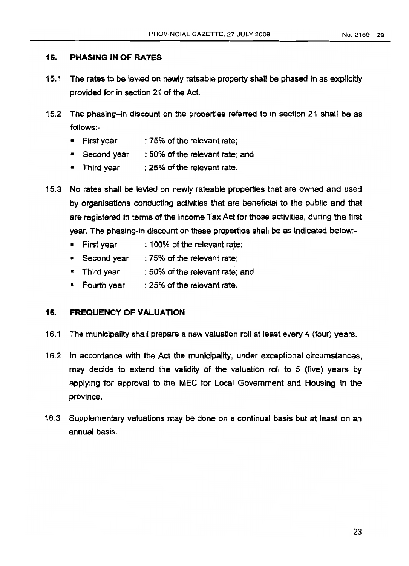## 15. PHASING IN OF RATES

- 15.1 The rates to be levied on newly rateable property shall be phased in as explicitly provided for in section 21 of the Act.
- 15.2 The phasing-in discount on the properties referred to in section 21 shall be as follows:-
	- First year : 75% of the relevant rate;
	- Second vear : 50% of the relevant rate; and
	- Third year : 25% of the relevant rate.
- 15.3 No rates shall be levied on newly rateable properties that are owned and used by organisations conducting activities that are beneficial to the public and that are registered in terms of the Income Tax Act for those activities, during the first year. The phasing-in discount on these properties shall be as indicated below:-
	- $First$  vear  $: 100\%$  of the relevant rate;
	- Second year : 75% of the relevant rate:
	- Third year : 50% of the relevant rate; and
	- Fourth year : 25% of the relevant rate.

## 16. FREQUENCY OF VALUATION

- 16.1 The municipality shall prepare a new valuation roll at least every 4 (four) years.
- 16.2 In accordance with the Act the municipality, under exceptional circumstances. may decide to extend the validity of the valuation roll to 5 (five) years by applying for approval to the MEC for Local Govemment and Housing in the province,
- 16.3 Supplementary valuations may be done on a continual basis but at least on an annual basis.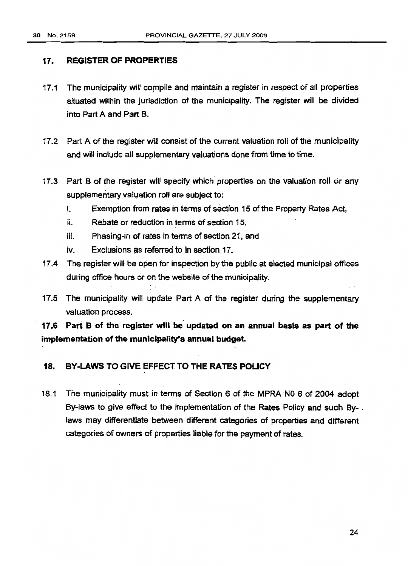## 17. REGISTER OF PROPERTIES

- 17.1 The municipality will compile and maintain a register in respect of all properties situated within the jurisdiction of the municipality. The register will be divided into Part A and Part B.
- 17.2 Part A of the register will consist of the current valuation roll of the municipality and will include all supplementary valuations done from time to time.
- 17.3 Part B of the register will specify which properties on the valuation roll or any supplementary valuation roll are subject to:
	- i. Exemption from rates in terms of section 15 of the Property Rates Act,
	- ii. Rebate or reduction in terms of section 15,
	- iii. Phasing-in of rates in terms of section 21, and
	- iv. Exclusions as referred to in section 17.
- 17.4 The register will be open for inspection by the public at elected municipal offices during office hours or on the website of the municipality.
- 17.5 The municipality will update Part A of the register during the supplementary valuation process.

17.6 Pari B of the register will be' updated on an annual basis as part of the implementation of the municipality's annual budget.

## 18. BY-LAWS TO GIVE EFFECT TO THE RATES POLICY

18.1 The municipality must in terms of Section 6 of the MPRA N0 6 of 2004 adopt By-laws to give effect to the implementation of the Rates Policy and such Bylaws may differentiate between different categories of properties and different categories of owners of properties liable for the payment of rates.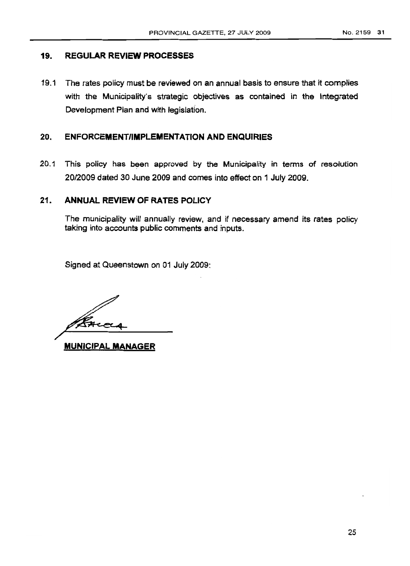### 19. REGULAR REVIEW PROCESSES

19.1 The rates policy must be reviewed on an annual basis to ensure that it complies with the Municipality's strategic objectives as contained in the Integrated Development Plan and with legislation.

### 20. ENFORCEMENT/IMPLEMENTATION AND ENQUIRIES

20.1 This policy has been approved by the Municipality in terms of resolution 20/2009 dated 30 June 2009 and comes into effect on 1 July 2009.

## 21. ANNUAL REVIEW OF RATES POLICY

The municipality will annually review, and if necessary amend its rates policy taking into accounts public comments and inputs.

Signed at Queenstown on 01 July 2009:

MUNICIPAL MANAGER